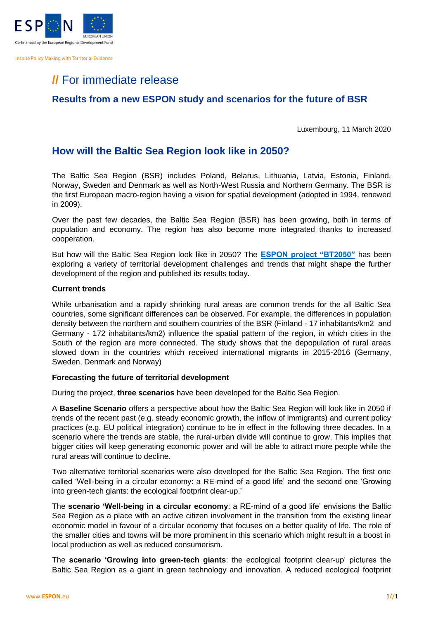

**Inspire Policy Making with Territorial Evidence** 

# **//** For immediate release

### **Results from a new ESPON study and scenarios for the future of BSR**

Luxembourg, 11 March 2020

### **How will the Baltic Sea Region look like in 2050?**

The Baltic Sea Region (BSR) includes Poland, Belarus, Lithuania, Latvia, Estonia, Finland, Norway, Sweden and Denmark as well as North-West Russia and Northern Germany. The BSR is the first European macro-region having a vision for spatial development (adopted in 1994, renewed in 2009).

Over the past few decades, the Baltic Sea Region (BSR) has been growing, both in terms of population and economy. The region has also become more integrated thanks to increased cooperation.

But how will the Baltic Sea Region look like in 2050? The **[ESPON project "BT2050"](https://www.espon.eu/BT%202050)** has been exploring a variety of territorial development challenges and trends that might shape the further development of the region and published its results today.

#### **Current trends**

While urbanisation and a rapidly shrinking rural areas are common trends for the all Baltic Sea countries, some significant differences can be observed. For example, the differences in population density between the northern and southern countries of the BSR (Finland - 17 inhabitants/km2 and Germany - 172 inhabitants/km2) influence the spatial pattern of the region, in which cities in the South of the region are more connected. The study shows that the depopulation of rural areas slowed down in the countries which received international migrants in 2015-2016 (Germany, Sweden, Denmark and Norway)

#### **Forecasting the future of territorial development**

During the project, **three scenarios** have been developed for the Baltic Sea Region.

A **Baseline Scenario** offers a perspective about how the Baltic Sea Region will look like in 2050 if trends of the recent past (e.g. steady economic growth, the inflow of immigrants) and current policy practices (e.g. EU political integration) continue to be in effect in the following three decades. In a scenario where the trends are stable, the rural-urban divide will continue to grow. This implies that bigger cities will keep generating economic power and will be able to attract more people while the rural areas will continue to decline.

Two alternative territorial scenarios were also developed for the Baltic Sea Region. The first one called 'Well-being in a circular economy: a RE-mind of a good life' and the second one 'Growing into green-tech giants: the ecological footprint clear-up.'

The **scenario 'Well-being in a circular economy**: a RE-mind of a good life' envisions the Baltic Sea Region as a place with an active citizen involvement in the transition from the existing linear economic model in favour of a circular economy that focuses on a better quality of life. The role of the smaller cities and towns will be more prominent in this scenario which might result in a boost in local production as well as reduced consumerism.

The **scenario 'Growing into green-tech giants**: the ecological footprint clear-up' pictures the Baltic Sea Region as a giant in green technology and innovation. A reduced ecological footprint